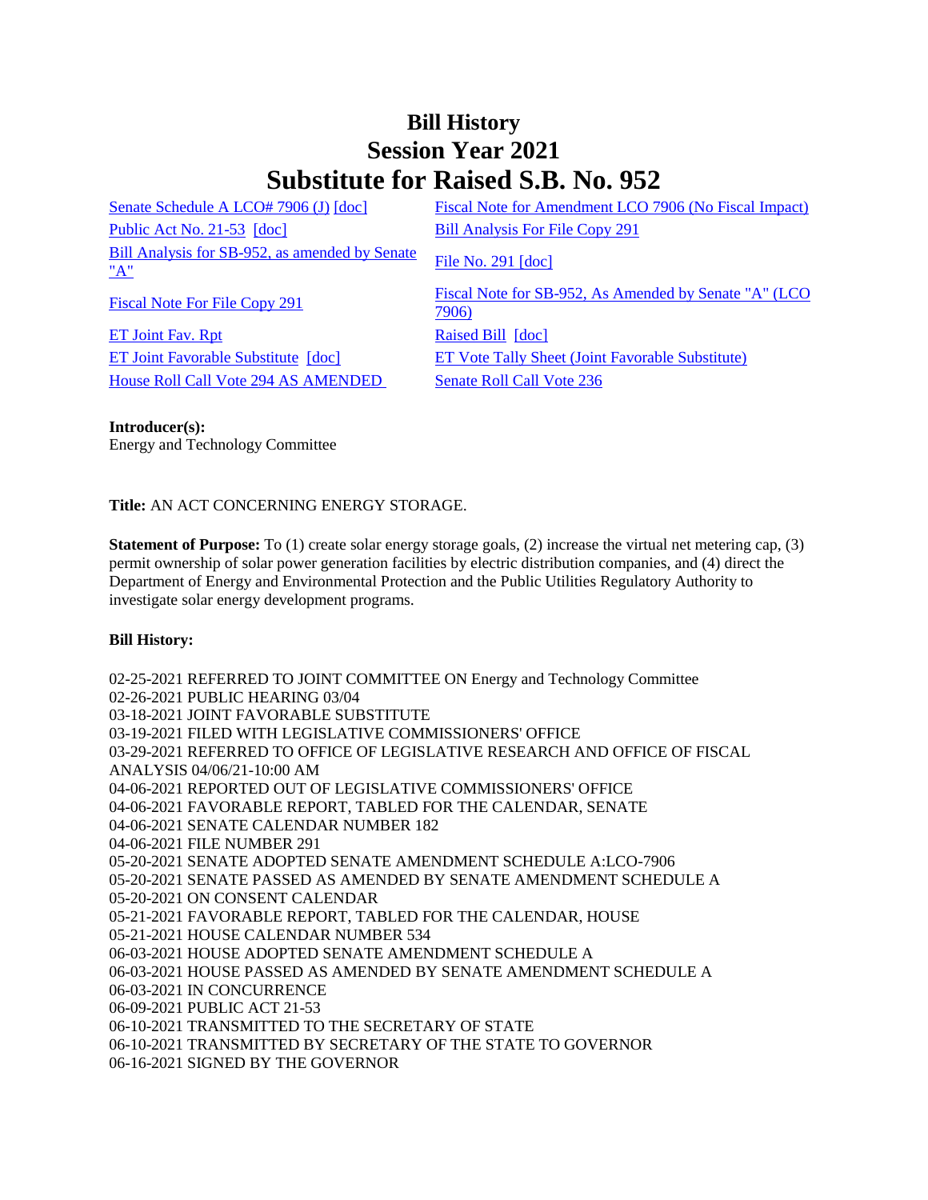## **Bill History Session Year 2021 Substitute for Raised S.B. No. 952**

[Senate Schedule A LCO# 7906 \(J\)](/2021/amd/S/pdf/2021SB-00952-R00SA-AMD.pdf) [\[doc\]](https://search.cga.state.ct.us/dl2021/AMD/doc/2021SB-00952-R00SA-AMD.docx) Fiscal Note for Amendment LCO 7906 (No Fiscal Impact) [Public Act No. 21-53](/2021/ACT/PA/PDF/2021PA-00053-R00SB-00952-PA.PDF) [\[doc\]](https://search.cga.state.ct.us/dl2021/PA/DOC/2021PA-00053-R00SB-00952-PA.DOCX) [Bill Analysis For File Copy 291](/2021/BA/PDF/2021SB-00952-R000291-BA.PDF) [Bill Analysis for SB-952, as amended by Senate](/2021/BA/PDF/2021SB-00952-R01-BA.PDF)   $\frac{\text{Bin} \text{ Analysis for SD-952, as anielted by Seltate}}{\text{File No. 291 [doc]}}$  $\frac{\text{Bin} \text{ Analysis for SD-952, as anielted by Seltate}}{\text{File No. 291 [doc]}}$  $\frac{\text{Bin} \text{ Analysis for SD-952, as anielted by Seltate}}{\text{File No. 291 [doc]}}$  $\frac{\text{Bin} \text{ Analysis for SD-952, as anielted by Seltate}}{\text{File No. 291 [doc]}}$  $\frac{\text{Bin} \text{ Analysis for SD-952, as anielted by Seltate}}{\text{File No. 291 [doc]}}$ [Fiscal Note For File Copy 291](/2021/FN/PDF/2021SB-00952-R000291-FN.PDF) Fiscal Note for SB-952, As Amended by Senate "A" (LCO [7906\)](/2021/FN/PDF/2021SB-00952-R01-FN.PDF) [ET Joint Fav. Rpt](/2021/JFR/S/PDF/2021SB-00952-R00ET-JFR.PDF) [Raised Bill](/2021/TOB/S/PDF/2021SB-00952-R00-SB.PDF) [\[doc\]](https://search.cga.state.ct.us/dl2021/TOB/DOC/2021SB-00952-R00-SB.DOCX) [ET Joint Favorable Substitute](/2021/TOB/S/PDF/2021SB-00952-R01-SB.PDF) [\[doc\]](https://search.cga.state.ct.us/dl2021/TOB/DOC/2021SB-00952-R01-SB.DOCX) [ET Vote Tally Sheet \(Joint Favorable Substitute\)](/2021/TS/S/PDF/2021SB-00952-R00ET-CV22-TS.PDF) [House Roll Call Vote 294 AS AMENDED](/2021/VOTE/H/PDF/2021HV-00294-R00SB00952-HV.PDF) [Senate Roll Call Vote 236](/2021/VOTE/S/PDF/2021SV-00236-R00SB00952-SV.PDF) 

**Introducer(s):** Energy and Technology Committee

**Title:** AN ACT CONCERNING ENERGY STORAGE.

**Statement of Purpose:** To (1) create solar energy storage goals, (2) increase the virtual net metering cap, (3) permit ownership of solar power generation facilities by electric distribution companies, and (4) direct the Department of Energy and Environmental Protection and the Public Utilities Regulatory Authority to investigate solar energy development programs.

## **Bill History:**

02-25-2021 REFERRED TO JOINT COMMITTEE ON Energy and Technology Committee 02-26-2021 PUBLIC HEARING 03/04 03-18-2021 JOINT FAVORABLE SUBSTITUTE 03-19-2021 FILED WITH LEGISLATIVE COMMISSIONERS' OFFICE 03-29-2021 REFERRED TO OFFICE OF LEGISLATIVE RESEARCH AND OFFICE OF FISCAL ANALYSIS 04/06/21-10:00 AM 04-06-2021 REPORTED OUT OF LEGISLATIVE COMMISSIONERS' OFFICE 04-06-2021 FAVORABLE REPORT, TABLED FOR THE CALENDAR, SENATE 04-06-2021 SENATE CALENDAR NUMBER 182 04-06-2021 FILE NUMBER 291 05-20-2021 SENATE ADOPTED SENATE AMENDMENT SCHEDULE A:LCO-7906 05-20-2021 SENATE PASSED AS AMENDED BY SENATE AMENDMENT SCHEDULE A 05-20-2021 ON CONSENT CALENDAR 05-21-2021 FAVORABLE REPORT, TABLED FOR THE CALENDAR, HOUSE 05-21-2021 HOUSE CALENDAR NUMBER 534 06-03-2021 HOUSE ADOPTED SENATE AMENDMENT SCHEDULE A 06-03-2021 HOUSE PASSED AS AMENDED BY SENATE AMENDMENT SCHEDULE A 06-03-2021 IN CONCURRENCE 06-09-2021 PUBLIC ACT 21-53 06-10-2021 TRANSMITTED TO THE SECRETARY OF STATE 06-10-2021 TRANSMITTED BY SECRETARY OF THE STATE TO GOVERNOR 06-16-2021 SIGNED BY THE GOVERNOR